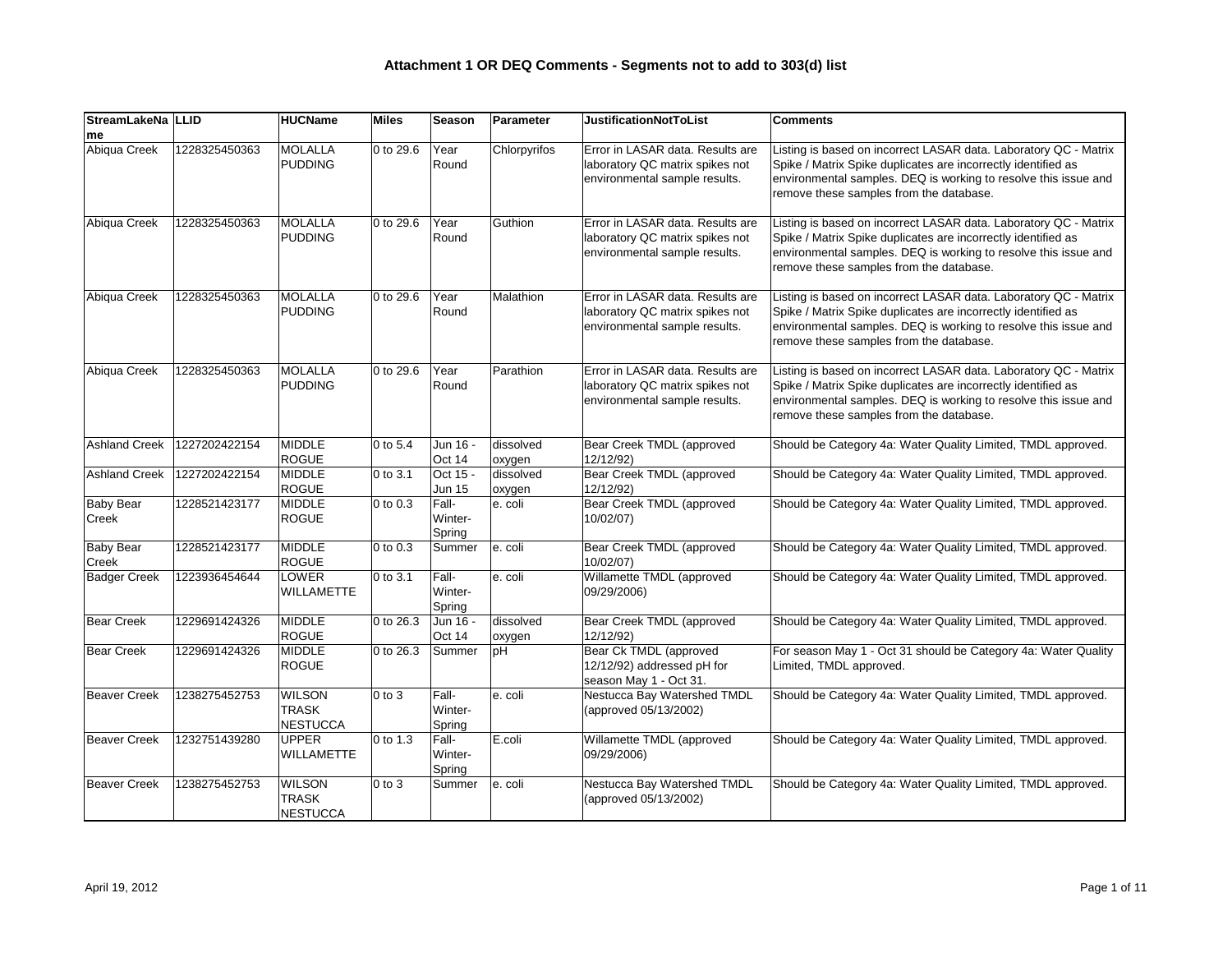| StreamLakeNa   LLID<br><b>Ime</b> |               | <b>HUCName</b>                                   | <b>Miles</b>         | <b>Season</b>              | Parameter           | <b>JustificationNotToList</b>                                                                        | <b>Comments</b>                                                                                                                                                                                                                                 |
|-----------------------------------|---------------|--------------------------------------------------|----------------------|----------------------------|---------------------|------------------------------------------------------------------------------------------------------|-------------------------------------------------------------------------------------------------------------------------------------------------------------------------------------------------------------------------------------------------|
| Abiqua Creek                      | 1228325450363 | MOLALLA<br>PUDDING                               | 0 to 29.6            | Year<br>Round              | Chlorpyrifos        | Error in LASAR data. Results are<br>laboratory QC matrix spikes not<br>environmental sample results. | Listing is based on incorrect LASAR data. Laboratory QC - Matrix<br>Spike / Matrix Spike duplicates are incorrectly identified as<br>environmental samples. DEQ is working to resolve this issue and<br>remove these samples from the database. |
| Abiqua Creek                      | 1228325450363 | MOLALLA<br>PUDDING                               | 0 to 29.6            | Year<br>Round              | Guthion             | Error in LASAR data. Results are<br>laboratory QC matrix spikes not<br>environmental sample results. | Listing is based on incorrect LASAR data. Laboratory QC - Matrix<br>Spike / Matrix Spike duplicates are incorrectly identified as<br>environmental samples. DEQ is working to resolve this issue and<br>remove these samples from the database. |
| Abiqua Creek                      | 1228325450363 | <b>MOLALLA</b><br>PUDDING                        | 0 to 29.6            | Year<br>Round              | Malathion           | Error in LASAR data. Results are<br>laboratory QC matrix spikes not<br>environmental sample results. | Listing is based on incorrect LASAR data. Laboratory QC - Matrix<br>Spike / Matrix Spike duplicates are incorrectly identified as<br>environmental samples. DEQ is working to resolve this issue and<br>remove these samples from the database. |
| Abiqua Creek                      | 1228325450363 | MOLALLA<br>PUDDING                               | 0 to 29.6            | Year<br>Round              | Parathion           | Error in LASAR data. Results are<br>laboratory QC matrix spikes not<br>environmental sample results. | Listing is based on incorrect LASAR data. Laboratory QC - Matrix<br>Spike / Matrix Spike duplicates are incorrectly identified as<br>environmental samples. DEQ is working to resolve this issue and<br>remove these samples from the database. |
| <b>Ashland Creek</b>              | 1227202422154 | MIDDLE<br>ROGUE                                  | $ 0 \text{ to } 5.4$ | Jun 16 -<br>Oct 14         | dissolved<br>oxygen | Bear Creek TMDL (approved<br>12/12/92)                                                               | Should be Category 4a: Water Quality Limited, TMDL approved.                                                                                                                                                                                    |
| <b>Ashland Creek</b>              | 1227202422154 | MIDDLE<br>ROGUE                                  | 0 to 3.1             | Oct 15 -<br><b>Jun 15</b>  | dissolved<br>oxygen | Bear Creek TMDL (approved<br>12/12/92)                                                               | Should be Category 4a: Water Quality Limited, TMDL approved.                                                                                                                                                                                    |
| <b>Baby Bear</b><br>Creek         | 1228521423177 | MIDDLE<br>ROGUE                                  | $ 0 \text{ to } 0.3$ | Fall-<br>Winter-<br>Spring | e. coli             | Bear Creek TMDL (approved<br>10/02/07)                                                               | Should be Category 4a: Water Quality Limited, TMDL approved.                                                                                                                                                                                    |
| <b>Baby Bear</b><br>Creek         | 1228521423177 | MIDDLE<br><b>ROGUE</b>                           | $ 0 \text{ to } 0.3$ | Summer                     | e. coli             | Bear Creek TMDL (approved<br>10/02/07)                                                               | Should be Category 4a: Water Quality Limited, TMDL approved.                                                                                                                                                                                    |
| <b>Badger Creek</b>               | 1223936454644 | <b>LOWER</b><br>WILLAMETTE                       | 0 to 3.1             | Fall-<br>Winter-<br>Spring | e. coli             | Willamette TMDL (approved<br>09/29/2006)                                                             | Should be Category 4a: Water Quality Limited, TMDL approved.                                                                                                                                                                                    |
| <b>Bear Creek</b>                 | 1229691424326 | MIDDLE<br>ROGUE                                  | 0 to 26.3            | Jun 16 -<br>Oct 14         | dissolved<br>oxygen | Bear Creek TMDL (approved<br>12/12/92)                                                               | Should be Category 4a: Water Quality Limited, TMDL approved.                                                                                                                                                                                    |
| <b>Bear Creek</b>                 | 1229691424326 | MIDDLE<br>ROGUE                                  | 0 to 26.3            | Summer                     | pH                  | Bear Ck TMDL (approved<br>12/12/92) addressed pH for<br>season May 1 - Oct 31.                       | For season May 1 - Oct 31 should be Category 4a: Water Quality<br>Limited, TMDL approved.                                                                                                                                                       |
| <b>Beaver Creek</b>               | 1238275452753 | <b>WILSON</b><br><b>TRASK</b><br><b>NESTUCCA</b> | $0$ to $3$           | Fall-<br>Winter-<br>Spring | e. coli             | Nestucca Bay Watershed TMDL<br>(approved 05/13/2002)                                                 | Should be Category 4a: Water Quality Limited, TMDL approved.                                                                                                                                                                                    |
| <b>Beaver Creek</b>               | 1232751439280 | <b>UPPER</b><br>WILLAMETTE                       | 0 to 1.3             | Fall-<br>Winter-<br>Spring | E.coli              | Willamette TMDL (approved<br>09/29/2006)                                                             | Should be Category 4a: Water Quality Limited, TMDL approved.                                                                                                                                                                                    |
| <b>Beaver Creek</b>               | 1238275452753 | <b>WILSON</b><br><b>TRASK</b><br>NESTUCCA        | $0$ to $3$           | Summer                     | e. coli             | Nestucca Bay Watershed TMDL<br>(approved 05/13/2002)                                                 | Should be Category 4a: Water Quality Limited, TMDL approved.                                                                                                                                                                                    |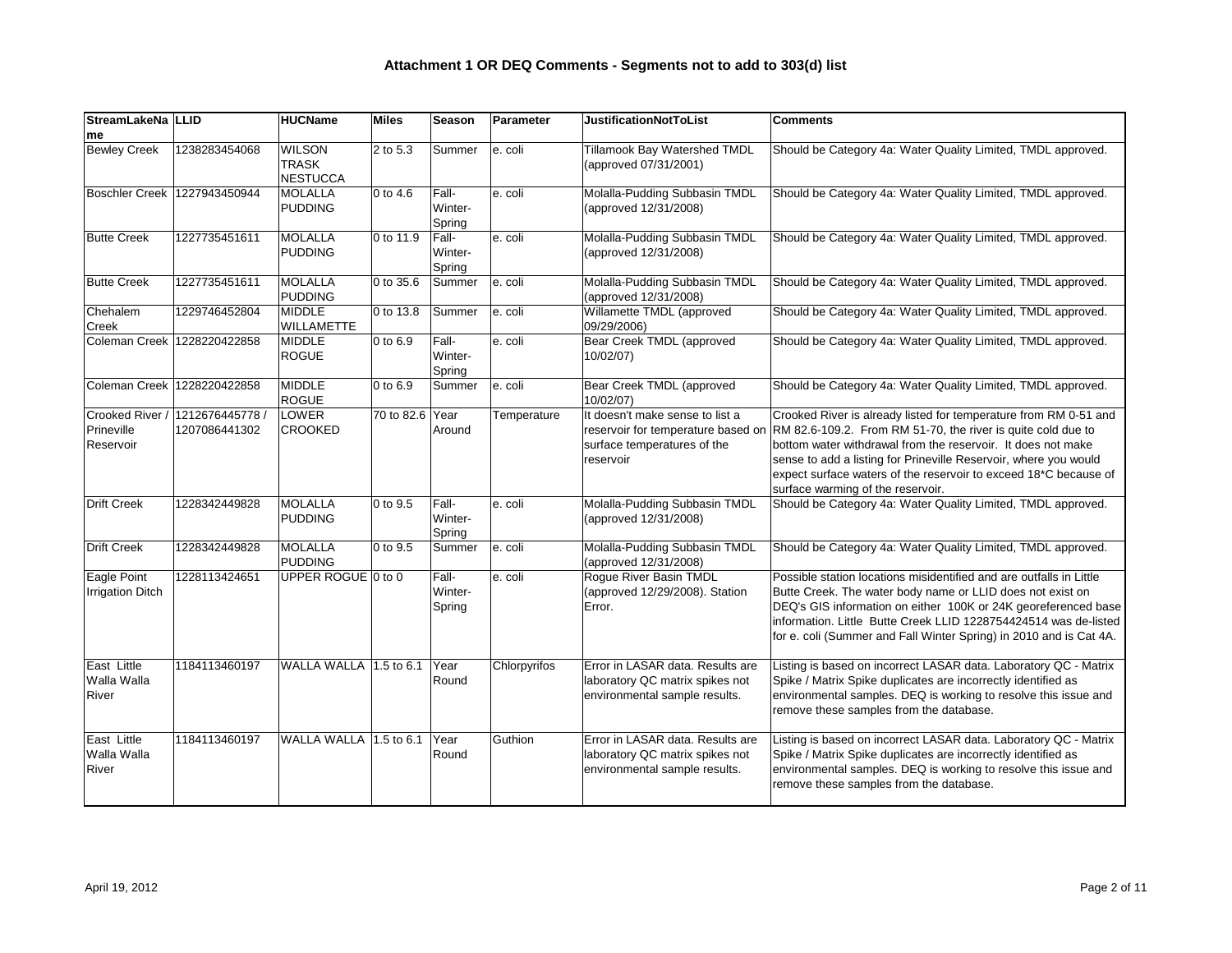| StreamLakeNa   LLID                        |                                  | <b>HUCName</b>                            | Miles                | <b>Season</b>              | Parameter    | <b>JustificationNotToList</b>                                                                                     | <b>Comments</b>                                                                                                                                                                                                                                                                                                                                                               |
|--------------------------------------------|----------------------------------|-------------------------------------------|----------------------|----------------------------|--------------|-------------------------------------------------------------------------------------------------------------------|-------------------------------------------------------------------------------------------------------------------------------------------------------------------------------------------------------------------------------------------------------------------------------------------------------------------------------------------------------------------------------|
| me                                         |                                  |                                           |                      |                            |              |                                                                                                                   |                                                                                                                                                                                                                                                                                                                                                                               |
| <b>Bewley Creek</b>                        | 1238283454068                    | <b>WILSON</b><br><b>TRASK</b><br>NESTUCCA | 2 to 5.3             | Summer                     | e. coli      | Tillamook Bay Watershed TMDL<br>(approved 07/31/2001)                                                             | Should be Category 4a: Water Quality Limited, TMDL approved.                                                                                                                                                                                                                                                                                                                  |
| <b>Boschler Creek</b>                      | 1227943450944                    | MOLALLA<br>PUDDING                        | $ 0 \text{ to } 4.6$ | Fall-<br>Winter-<br>Spring | e. coli      | Molalla-Pudding Subbasin TMDL<br>(approved 12/31/2008)                                                            | Should be Category 4a: Water Quality Limited, TMDL approved.                                                                                                                                                                                                                                                                                                                  |
| <b>Butte Creek</b>                         | 1227735451611                    | MOLALLA<br>PUDDING                        | 0 to 11.9            | Fall-<br>Winter-<br>Spring | e. coli      | Molalla-Pudding Subbasin TMDL<br>(approved 12/31/2008)                                                            | Should be Category 4a: Water Quality Limited, TMDL approved.                                                                                                                                                                                                                                                                                                                  |
| <b>Butte Creek</b>                         | 1227735451611                    | MOLALLA<br>PUDDING                        | 0 to 35.6            | Summer                     | e. coli      | Molalla-Pudding Subbasin TMDL<br>(approved 12/31/2008)                                                            | Should be Category 4a: Water Quality Limited, TMDL approved.                                                                                                                                                                                                                                                                                                                  |
| Chehalem<br>Creek                          | 1229746452804                    | MIDDLE<br>WILLAMETTE                      | 0 to 13.8            | Summer                     | e. coli      | Willamette TMDL (approved<br>09/29/2006)                                                                          | Should be Category 4a: Water Quality Limited, TMDL approved.                                                                                                                                                                                                                                                                                                                  |
| Coleman Creek                              | 1228220422858                    | MIDDLE<br><b>ROGUE</b>                    | 0 to 6.9             | Fall-<br>Winter-<br>Spring | e. coli      | Bear Creek TMDL (approved<br>10/02/07)                                                                            | Should be Category 4a: Water Quality Limited, TMDL approved.                                                                                                                                                                                                                                                                                                                  |
| Coleman Creek                              | 1228220422858                    | MIDDLE<br><b>ROGUE</b>                    | 0 to 6.9             | Summer                     | e. coli      | Bear Creek TMDL (approved<br>10/02/07)                                                                            | Should be Category 4a: Water Quality Limited, TMDL approved.                                                                                                                                                                                                                                                                                                                  |
| Crooked River /<br>Prineville<br>Reservoir | 1212676445778 /<br>1207086441302 | LOWER<br><b>CROOKED</b>                   | 70 to 82.6 Year      | Around                     | Temperature  | It doesn't make sense to list a<br>reservoir for temperature based on<br>surface temperatures of the<br>reservoir | Crooked River is already listed for temperature from RM 0-51 and<br>RM 82.6-109.2. From RM 51-70, the river is quite cold due to<br>bottom water withdrawal from the reservoir. It does not make<br>sense to add a listing for Prineville Reservoir, where you would<br>expect surface waters of the reservoir to exceed 18*C because of<br>surface warming of the reservoir. |
| <b>Drift Creek</b>                         | 1228342449828                    | MOLALLA<br>PUDDING                        | $ 0 \text{ to } 9.5$ | Fall-<br>Winter-<br>Spring | e. coli      | Molalla-Pudding Subbasin TMDL<br>(approved 12/31/2008)                                                            | Should be Category 4a: Water Quality Limited, TMDL approved.                                                                                                                                                                                                                                                                                                                  |
| <b>Drift Creek</b>                         | 1228342449828                    | MOLALLA<br>PUDDING                        | $ 0 \text{ to } 9.5$ | Summer                     | e. coli      | Molalla-Pudding Subbasin TMDL<br>(approved 12/31/2008)                                                            | Should be Category 4a: Water Quality Limited, TMDL approved.                                                                                                                                                                                                                                                                                                                  |
| Eagle Point<br><b>Irrigation Ditch</b>     | 1228113424651                    | UPPER ROGUE $ 0 \text{ to } 0$            |                      | Fall-<br>Winter-<br>Spring | e. coli      | Rogue River Basin TMDL<br>(approved 12/29/2008). Station<br>Error.                                                | Possible station locations misidentified and are outfalls in Little<br>Butte Creek. The water body name or LLID does not exist on<br>DEQ's GIS information on either 100K or 24K georeferenced base<br>information. Little Butte Creek LLID 1228754424514 was de-listed<br>for e. coli (Summer and Fall Winter Spring) in 2010 and is Cat 4A.                                 |
| East Little<br>Walla Walla<br>River        | 1184113460197                    | WALLA WALLA 1.5 to 6.1                    |                      | Year<br>Round              | Chlorpyrifos | Error in LASAR data. Results are<br>laboratory QC matrix spikes not<br>environmental sample results.              | Listing is based on incorrect LASAR data. Laboratory QC - Matrix<br>Spike / Matrix Spike duplicates are incorrectly identified as<br>environmental samples. DEQ is working to resolve this issue and<br>remove these samples from the database.                                                                                                                               |
| East Little<br>Walla Walla<br>River        | 1184113460197                    | $\,$ WALLA WALLA $\,$ 1.5 to 6.1 $\,$     |                      | Year<br>Round              | Guthion      | Error in LASAR data. Results are<br>laboratory QC matrix spikes not<br>environmental sample results.              | Listing is based on incorrect LASAR data. Laboratory QC - Matrix<br>Spike / Matrix Spike duplicates are incorrectly identified as<br>environmental samples. DEQ is working to resolve this issue and<br>remove these samples from the database.                                                                                                                               |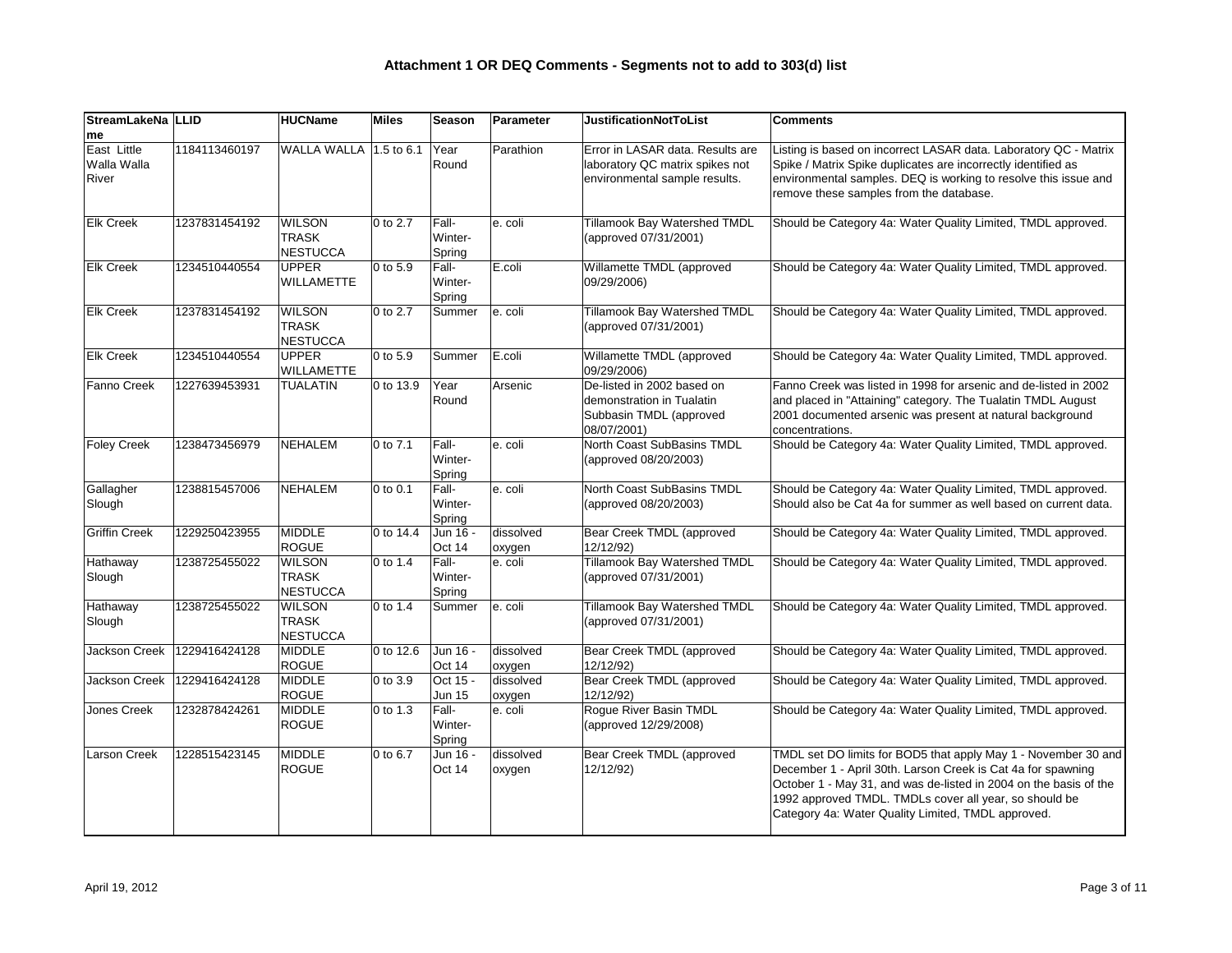| StreamLakeNa   LLID<br>me           |               | <b>HUCName</b>                                   | <b>Miles</b>         | <b>Season</b>              | Parameter           | <b>JustificationNotToList</b>                                                                        | <b>Comments</b>                                                                                                                                                                                                                                                                                                     |
|-------------------------------------|---------------|--------------------------------------------------|----------------------|----------------------------|---------------------|------------------------------------------------------------------------------------------------------|---------------------------------------------------------------------------------------------------------------------------------------------------------------------------------------------------------------------------------------------------------------------------------------------------------------------|
| East Little<br>Walla Walla<br>River | 1184113460197 | WALLA WALLA 1.5 to 6.1                           |                      | Year<br>Round              | Parathion           | Error in LASAR data. Results are<br>laboratory QC matrix spikes not<br>environmental sample results. | Listing is based on incorrect LASAR data. Laboratory QC - Matrix<br>Spike / Matrix Spike duplicates are incorrectly identified as<br>environmental samples. DEQ is working to resolve this issue and<br>remove these samples from the database.                                                                     |
| <b>Elk Creek</b>                    | 1237831454192 | <b>WILSON</b><br><b>TRASK</b><br><b>NESTUCCA</b> | 0 to 2.7             | Fall-<br>Winter-<br>Spring | e. coli             | Tillamook Bay Watershed TMDL<br>(approved 07/31/2001)                                                | Should be Category 4a: Water Quality Limited, TMDL approved.                                                                                                                                                                                                                                                        |
| <b>Elk Creek</b>                    | 1234510440554 | UPPER<br><b>WILLAMETTE</b>                       | 0 to 5.9             | Fall-<br>Winter-<br>Spring | E.coli              | Willamette TMDL (approved<br>09/29/2006)                                                             | Should be Category 4a: Water Quality Limited, TMDL approved.                                                                                                                                                                                                                                                        |
| <b>Elk Creek</b>                    | 1237831454192 | <b>WILSON</b><br><b>TRASK</b><br>NESTUCCA        | 0 to 2.7             | Summer                     | e. coli             | <b>Tillamook Bay Watershed TMDL</b><br>(approved 07/31/2001)                                         | Should be Category 4a: Water Quality Limited, TMDL approved.                                                                                                                                                                                                                                                        |
| <b>Elk Creek</b>                    | 1234510440554 | UPPER<br><b>WILLAMETTE</b>                       | 0 to 5.9             | Summer                     | $E.$ coli           | Willamette TMDL (approved<br>09/29/2006)                                                             | Should be Category 4a: Water Quality Limited, TMDL approved.                                                                                                                                                                                                                                                        |
| Fanno Creek                         | 1227639453931 | <b>TUALATIN</b>                                  | 0 to 13.9            | Year<br>Round              | Arsenic             | De-listed in 2002 based on<br>demonstration in Tualatin<br>Subbasin TMDL (approved<br>08/07/2001)    | Fanno Creek was listed in 1998 for arsenic and de-listed in 2002<br>and placed in "Attaining" category. The Tualatin TMDL August<br>2001 documented arsenic was present at natural background<br>concentrations.                                                                                                    |
| <b>Foley Creek</b>                  | 1238473456979 | NEHALEM                                          | 0 to 7.1             | Fall-<br>Winter-<br>Spring | e. coli             | North Coast SubBasins TMDL<br>(approved 08/20/2003)                                                  | Should be Category 4a: Water Quality Limited, TMDL approved.                                                                                                                                                                                                                                                        |
| Gallagher<br>Slough                 | 1238815457006 | NEHALEM                                          | 0 to 0.1             | Fall-<br>Winter-<br>Spring | e. coli             | North Coast SubBasins TMDL<br>(approved 08/20/2003)                                                  | Should be Category 4a: Water Quality Limited, TMDL approved.<br>Should also be Cat 4a for summer as well based on current data.                                                                                                                                                                                     |
| <b>Griffin Creek</b>                | 1229250423955 | MIDDLE<br>ROGUE                                  | 0 to 14.4            | Jun 16 -<br>Oct 14         | dissolved<br>oxygen | Bear Creek TMDL (approved<br>12/12/92)                                                               | Should be Category 4a: Water Quality Limited, TMDL approved.                                                                                                                                                                                                                                                        |
| Hathaway<br>Slough                  | 1238725455022 | <b>WILSON</b><br><b>TRASK</b><br>NESTUCCA        | $ 0 \text{ to } 1.4$ | Fall-<br>Winter-<br>Spring | e. coli             | Tillamook Bay Watershed TMDL<br>(approved 07/31/2001)                                                | Should be Category 4a: Water Quality Limited, TMDL approved.                                                                                                                                                                                                                                                        |
| Hathaway<br>Slough                  | 1238725455022 | <b>WILSON</b><br><b>TRASK</b><br>NESTUCCA        | $0$ to 1.4           | Summer                     | e. coli             | Tillamook Bay Watershed TMDL<br>(approved 07/31/2001)                                                | Should be Category 4a: Water Quality Limited, TMDL approved.                                                                                                                                                                                                                                                        |
| Jackson Creek                       | 1229416424128 | MIDDLE<br>ROGUE                                  | 0 to 12.6            | Jun 16 -<br>Oct 14         | dissolved<br>oxygen | Bear Creek TMDL (approved<br>12/12/92)                                                               | Should be Category 4a: Water Quality Limited, TMDL approved.                                                                                                                                                                                                                                                        |
| Jackson Creek                       | 1229416424128 | MIDDLE<br><b>ROGUE</b>                           | 0 to 3.9             | Oct 15 -<br>Jun 15         | dissolved<br>oxygen | Bear Creek TMDL (approved<br>12/12/92)                                                               | Should be Category 4a: Water Quality Limited, TMDL approved.                                                                                                                                                                                                                                                        |
| Jones Creek                         | 1232878424261 | MIDDLE<br><b>ROGUE</b>                           | 0 to 1.3             | Fall-<br>Winter-<br>Spring | e. coli             | Rogue River Basin TMDL<br>(approved 12/29/2008)                                                      | Should be Category 4a: Water Quality Limited, TMDL approved.                                                                                                                                                                                                                                                        |
| Larson Creek                        | 1228515423145 | MIDDLE<br><b>ROGUE</b>                           | 0 to 6.7             | Jun 16 -<br>Oct $14$       | dissolved<br>oxygen | Bear Creek TMDL (approved<br>12/12/92)                                                               | TMDL set DO limits for BOD5 that apply May 1 - November 30 and<br>December 1 - April 30th. Larson Creek is Cat 4a for spawning<br>October 1 - May 31, and was de-listed in 2004 on the basis of the<br>1992 approved TMDL. TMDLs cover all year, so should be<br>Category 4a: Water Quality Limited, TMDL approved. |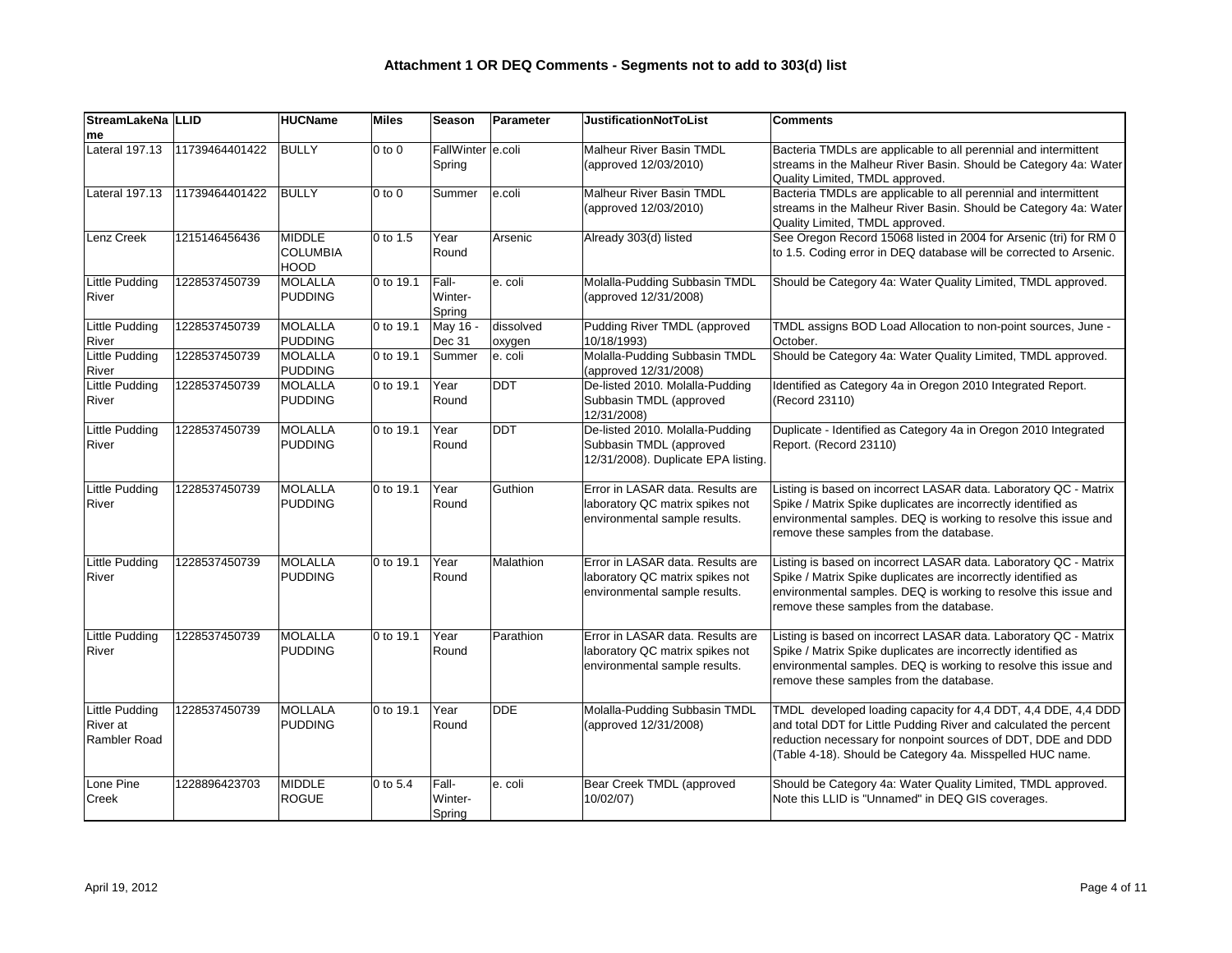| StreamLakeNa   LLID                 |                | <b>HUCName</b>  | <b>Miles</b> | <b>Season</b>     | Parameter  | <b>JustificationNotToList</b>       | <b>Comments</b>                                                    |
|-------------------------------------|----------------|-----------------|--------------|-------------------|------------|-------------------------------------|--------------------------------------------------------------------|
| <b>Ime</b><br><b>Lateral 197.13</b> |                |                 |              | FallWinter e.coli |            |                                     |                                                                    |
|                                     | 11739464401422 | <b>BULLY</b>    | $0$ to $0$   |                   |            | Malheur River Basin TMDL            | Bacteria TMDLs are applicable to all perennial and intermittent    |
|                                     |                |                 |              | Spring            |            | (approved 12/03/2010)               | streams in the Malheur River Basin. Should be Category 4a: Water   |
|                                     |                |                 |              |                   |            |                                     | Quality Limited, TMDL approved.                                    |
| Lateral 197.13                      | 11739464401422 | <b>BULLY</b>    | $0$ to $0$   | Summer            | e.coli     | <b>Malheur River Basin TMDL</b>     | Bacteria TMDLs are applicable to all perennial and intermittent    |
|                                     |                |                 |              |                   |            | (approved 12/03/2010)               | streams in the Malheur River Basin. Should be Category 4a: Water   |
|                                     |                |                 |              |                   |            |                                     | Quality Limited, TMDL approved.                                    |
| Lenz Creek                          | 1215146456436  | MIDDLE          | 0 to 1.5     | Year              | Arsenic    | Already 303(d) listed               | See Oregon Record 15068 listed in 2004 for Arsenic (tri) for RM 0  |
|                                     |                | <b>COLUMBIA</b> |              | Round             |            |                                     | to 1.5. Coding error in DEQ database will be corrected to Arsenic. |
|                                     |                | <b>HOOD</b>     |              |                   |            |                                     |                                                                    |
| Little Pudding                      | 1228537450739  | MOLALLA         | 0 to 19.1    | Fall-             | e. coli    | Molalla-Pudding Subbasin TMDL       | Should be Category 4a: Water Quality Limited, TMDL approved.       |
| River                               |                | PUDDING         |              | Winter-           |            | (approved 12/31/2008)               |                                                                    |
|                                     |                |                 |              | Spring            |            |                                     |                                                                    |
| <b>Little Pudding</b>               | 1228537450739  | MOLALLA         | 0 to 19.1    | May 16 -          | dissolved  | Pudding River TMDL (approved        | TMDL assigns BOD Load Allocation to non-point sources, June -      |
| River                               |                | PUDDING         |              | Dec 31            | oxygen     | 10/18/1993)                         | October.                                                           |
| <b>Little Pudding</b>               | 1228537450739  | MOLALLA         | 0 to 19.1    | Summer            | e. coli    | Molalla-Pudding Subbasin TMDL       | Should be Category 4a: Water Quality Limited, TMDL approved.       |
| River                               |                | <b>PUDDING</b>  |              |                   |            | (approved 12/31/2008)               |                                                                    |
| Little Pudding                      | 1228537450739  | MOLALLA         | 0 to 19.1    | Year              | <b>DDT</b> | De-listed 2010. Molalla-Pudding     | Identified as Category 4a in Oregon 2010 Integrated Report.        |
| River                               |                | <b>PUDDING</b>  |              | Round             |            | Subbasin TMDL (approved             | (Record 23110)                                                     |
|                                     |                |                 |              |                   |            | 12/31/2008)                         |                                                                    |
| Little Pudding                      | 1228537450739  | MOLALLA         | 0 to 19.1    | Year              | <b>DDT</b> | De-listed 2010. Molalla-Pudding     | Duplicate - Identified as Category 4a in Oregon 2010 Integrated    |
| River                               |                | PUDDING         |              | Round             |            | Subbasin TMDL (approved             | Report. (Record 23110)                                             |
|                                     |                |                 |              |                   |            | 12/31/2008). Duplicate EPA listing. |                                                                    |
|                                     |                |                 |              |                   |            |                                     |                                                                    |
| <b>Little Pudding</b>               | 1228537450739  | MOLALLA         | 0 to 19.1    | Year              | Guthion    | Error in LASAR data. Results are    | Listing is based on incorrect LASAR data. Laboratory QC - Matrix   |
| River                               |                | <b>PUDDING</b>  |              | Round             |            | laboratory QC matrix spikes not     | Spike / Matrix Spike duplicates are incorrectly identified as      |
|                                     |                |                 |              |                   |            | environmental sample results.       | environmental samples. DEQ is working to resolve this issue and    |
|                                     |                |                 |              |                   |            |                                     | remove these samples from the database.                            |
|                                     |                |                 |              |                   |            |                                     |                                                                    |
| <b>Little Pudding</b>               | 1228537450739  | MOLALLA         | 0 to 19.1    | Year              | Malathion  | Error in LASAR data. Results are    | Listing is based on incorrect LASAR data. Laboratory QC - Matrix   |
| River                               |                | PUDDING         |              | Round             |            | laboratory QC matrix spikes not     | Spike / Matrix Spike duplicates are incorrectly identified as      |
|                                     |                |                 |              |                   |            | environmental sample results.       | environmental samples. DEQ is working to resolve this issue and    |
|                                     |                |                 |              |                   |            |                                     | remove these samples from the database.                            |
|                                     |                |                 |              |                   |            |                                     |                                                                    |
| <b>Little Pudding</b>               | 1228537450739  | MOLALLA         | 0 to 19.1    | Year              | Parathion  | Error in LASAR data. Results are    | Listing is based on incorrect LASAR data. Laboratory QC - Matrix   |
| River                               |                | <b>PUDDING</b>  |              |                   |            | laboratory QC matrix spikes not     |                                                                    |
|                                     |                |                 |              | Round             |            | environmental sample results.       | Spike / Matrix Spike duplicates are incorrectly identified as      |
|                                     |                |                 |              |                   |            |                                     | environmental samples. DEQ is working to resolve this issue and    |
|                                     |                |                 |              |                   |            |                                     | remove these samples from the database.                            |
|                                     | 1228537450739  | MOLLALA         | 0 to 19.1    | Year              | <b>DDE</b> | Molalla-Pudding Subbasin TMDL       |                                                                    |
| Little Pudding                      |                |                 |              |                   |            |                                     | TMDL developed loading capacity for 4,4 DDT, 4,4 DDE, 4,4 DDD      |
| <b>River</b> at                     |                | <b>PUDDING</b>  |              | Round             |            | (approved 12/31/2008)               | and total DDT for Little Pudding River and calculated the percent  |
| Rambler Road                        |                |                 |              |                   |            |                                     | reduction necessary for nonpoint sources of DDT, DDE and DDD       |
|                                     |                |                 |              |                   |            |                                     | (Table 4-18). Should be Category 4a. Misspelled HUC name.          |
|                                     |                |                 |              |                   |            |                                     |                                                                    |
| Lone Pine                           | 1228896423703  | MIDDLE          | 0 to 5.4     | Fall-             | e. coli    | Bear Creek TMDL (approved           | Should be Category 4a: Water Quality Limited, TMDL approved.       |
| Creek                               |                | ROGUE           |              | Winter-           |            | 10/02/07)                           | Note this LLID is "Unnamed" in DEQ GIS coverages.                  |
|                                     |                |                 |              | Spring            |            |                                     |                                                                    |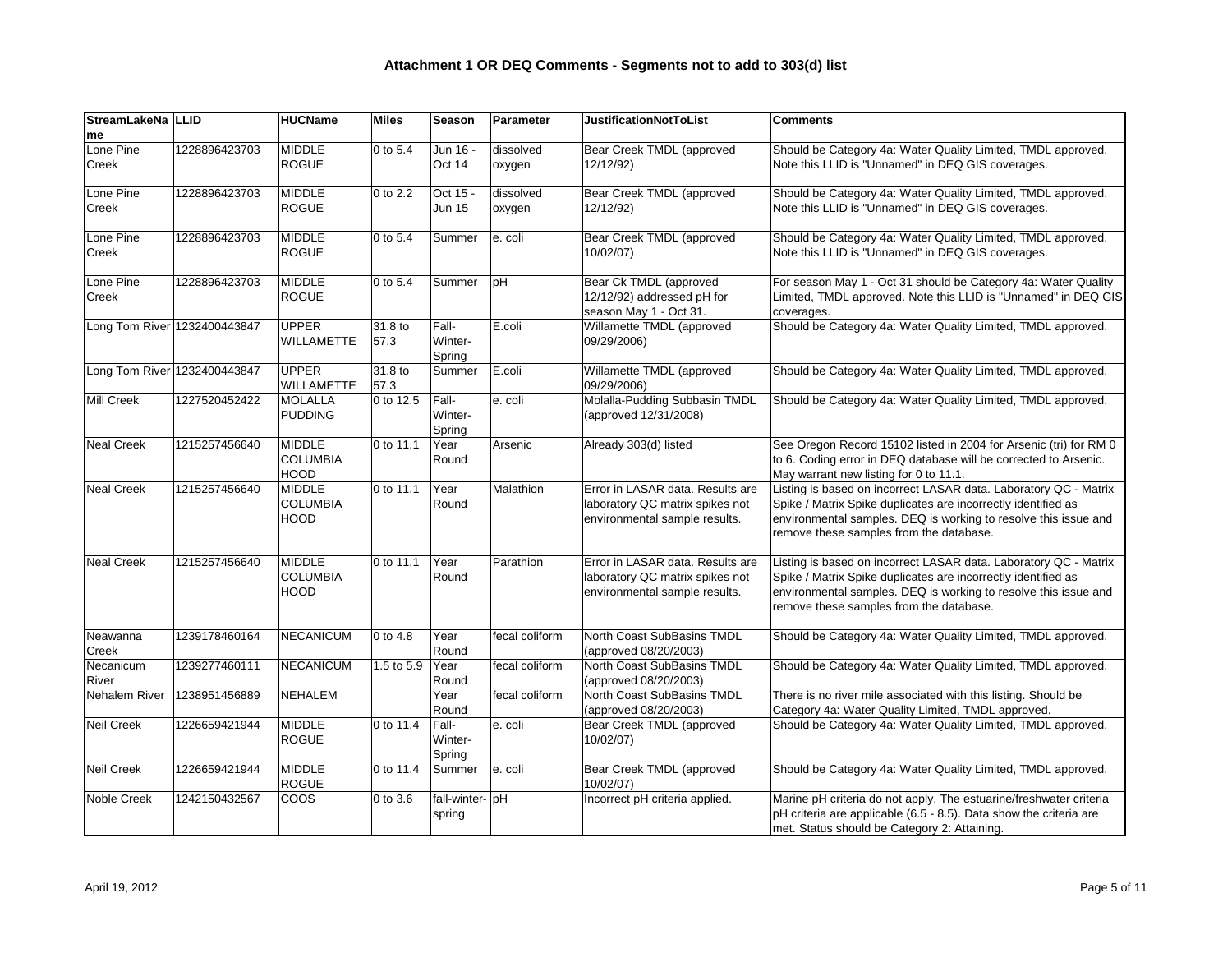| StreamLakeNa   LLID |                              | <b>HUCName</b>                           | <b>Miles</b>         | <b>Season</b>              | Parameter           | <b>JustificationNotToList</b>                                                                        | <b>Comments</b>                                                                                                                                                                                                                                 |
|---------------------|------------------------------|------------------------------------------|----------------------|----------------------------|---------------------|------------------------------------------------------------------------------------------------------|-------------------------------------------------------------------------------------------------------------------------------------------------------------------------------------------------------------------------------------------------|
| <b>Ime</b>          |                              |                                          |                      |                            |                     |                                                                                                      |                                                                                                                                                                                                                                                 |
| Lone Pine<br>Creek  | 1228896423703                | MIDDLE<br>ROGUE                          | $ 0 \text{ to } 5.4$ | Jun 16 -<br>Oct 14         | dissolved<br>oxygen | Bear Creek TMDL (approved<br>12/12/92)                                                               | Should be Category 4a: Water Quality Limited, TMDL approved.<br>Note this LLID is "Unnamed" in DEQ GIS coverages.                                                                                                                               |
| Lone Pine<br>Creek  | 1228896423703                | MIDDLE<br>ROGUE                          | 0 to 2.2             | Oct 15 -<br>Jun 15         | dissolved<br>oxygen | Bear Creek TMDL (approved<br>12/12/92)                                                               | Should be Category 4a: Water Quality Limited, TMDL approved.<br>Note this LLID is "Unnamed" in DEQ GIS coverages.                                                                                                                               |
| Lone Pine<br>Creek  | 1228896423703                | MIDDLE<br>ROGUE                          | $ 0 \text{ to } 5.4$ | Summer                     | e. coli             | Bear Creek TMDL (approved<br>10/02/07)                                                               | Should be Category 4a: Water Quality Limited, TMDL approved.<br>Note this LLID is "Unnamed" in DEQ GIS coverages.                                                                                                                               |
| Lone Pine<br>Creek  | 1228896423703                | MIDDLE<br>ROGUE                          | 0 to 5.4             | Summer                     | pH                  | Bear Ck TMDL (approved<br>12/12/92) addressed pH for<br>season May 1 - Oct 31.                       | For season May 1 - Oct 31 should be Category 4a: Water Quality<br>Limited, TMDL approved. Note this LLID is "Unnamed" in DEQ GIS<br>coverages.                                                                                                  |
|                     | Long Tom River 1232400443847 | <b>UPPER</b><br>WILLAMETTE               | 31.8 to<br>57.3      | Fall-<br>Winter-<br>Spring | $E.$ coli           | Willamette TMDL (approved<br>09/29/2006)                                                             | Should be Category 4a: Water Quality Limited, TMDL approved.                                                                                                                                                                                    |
|                     | Long Tom River 1232400443847 | UPPER<br><b>WILLAMETTE</b>               | 31.8 to<br>57.3      | Summer                     | $E.$ coli           | Willamette TMDL (approved<br>09/29/2006)                                                             | Should be Category 4a: Water Quality Limited, TMDL approved.                                                                                                                                                                                    |
| <b>Mill Creek</b>   | 1227520452422                | MOLALLA<br>PUDDING                       | 0 to 12.5            | Fall-<br>Winter-<br>Spring | e. coli             | Molalla-Pudding Subbasin TMDL<br>(approved 12/31/2008)                                               | Should be Category 4a: Water Quality Limited, TMDL approved.                                                                                                                                                                                    |
| <b>Neal Creek</b>   | 1215257456640                | MIDDLE<br><b>COLUMBIA</b><br><b>HOOD</b> | 0 to 11.1            | Year<br>Round              | Arsenic             | Already 303(d) listed                                                                                | See Oregon Record 15102 listed in 2004 for Arsenic (tri) for RM 0<br>to 6. Coding error in DEQ database will be corrected to Arsenic.<br>May warrant new listing for 0 to 11.1.                                                                 |
| <b>Neal Creek</b>   | 1215257456640                | MIDDLE<br><b>COLUMBIA</b><br><b>HOOD</b> | 0 to 11.1            | Year<br>Round              | Malathion           | Error in LASAR data. Results are<br>laboratory QC matrix spikes not<br>environmental sample results. | Listing is based on incorrect LASAR data. Laboratory QC - Matrix<br>Spike / Matrix Spike duplicates are incorrectly identified as<br>environmental samples. DEQ is working to resolve this issue and<br>remove these samples from the database. |
| <b>Neal Creek</b>   | 1215257456640                | MIDDLE<br><b>COLUMBIA</b><br><b>HOOD</b> | 0 to 11.1            | Year<br>Round              | Parathion           | Error in LASAR data. Results are<br>laboratory QC matrix spikes not<br>environmental sample results. | Listing is based on incorrect LASAR data. Laboratory QC - Matrix<br>Spike / Matrix Spike duplicates are incorrectly identified as<br>environmental samples. DEQ is working to resolve this issue and<br>remove these samples from the database. |
| Neawanna<br>Creek   | 1239178460164                | NECANICUM                                | 0 to 4.8             | Year<br>Round              | fecal coliform      | North Coast SubBasins TMDL<br>(approved 08/20/2003)                                                  | Should be Category 4a: Water Quality Limited, TMDL approved.                                                                                                                                                                                    |
| Necanicum<br>River  | 1239277460111                | NECANICUM                                | 1.5 to 5.9           | Year<br>Round              | fecal coliform      | North Coast SubBasins TMDL<br>(approved 08/20/2003)                                                  | Should be Category 4a: Water Quality Limited, TMDL approved.                                                                                                                                                                                    |
| Nehalem River       | 1238951456889                | <b>NEHALEM</b>                           |                      | Year<br>Round              | fecal coliform      | North Coast SubBasins TMDL<br>(approved 08/20/2003)                                                  | There is no river mile associated with this listing. Should be<br>Category 4a: Water Quality Limited, TMDL approved.                                                                                                                            |
| <b>Neil Creek</b>   | 1226659421944                | MIDDLE<br>ROGUE                          | 0 to 11.4            | Fall-<br>Winter-<br>Spring | e. coli             | Bear Creek TMDL (approved<br>10/02/07)                                                               | Should be Category 4a: Water Quality Limited, TMDL approved.                                                                                                                                                                                    |
| <b>Neil Creek</b>   | 1226659421944                | MIDDLE<br><b>ROGUE</b>                   | 0 to 11.4            | Summer                     | e. coli             | Bear Creek TMDL (approved<br>10/02/07)                                                               | Should be Category 4a: Water Quality Limited, TMDL approved.                                                                                                                                                                                    |
| Noble Creek         | 1242150432567                | <b>COOS</b>                              | 0 to 3.6             | fall-winter- pH<br>spring  |                     | Incorrect pH criteria applied.                                                                       | Marine pH criteria do not apply. The estuarine/freshwater criteria<br>$ $ pH criteria are applicable (6.5 - 8.5). Data show the criteria are<br>met. Status should be Category 2: Attaining.                                                    |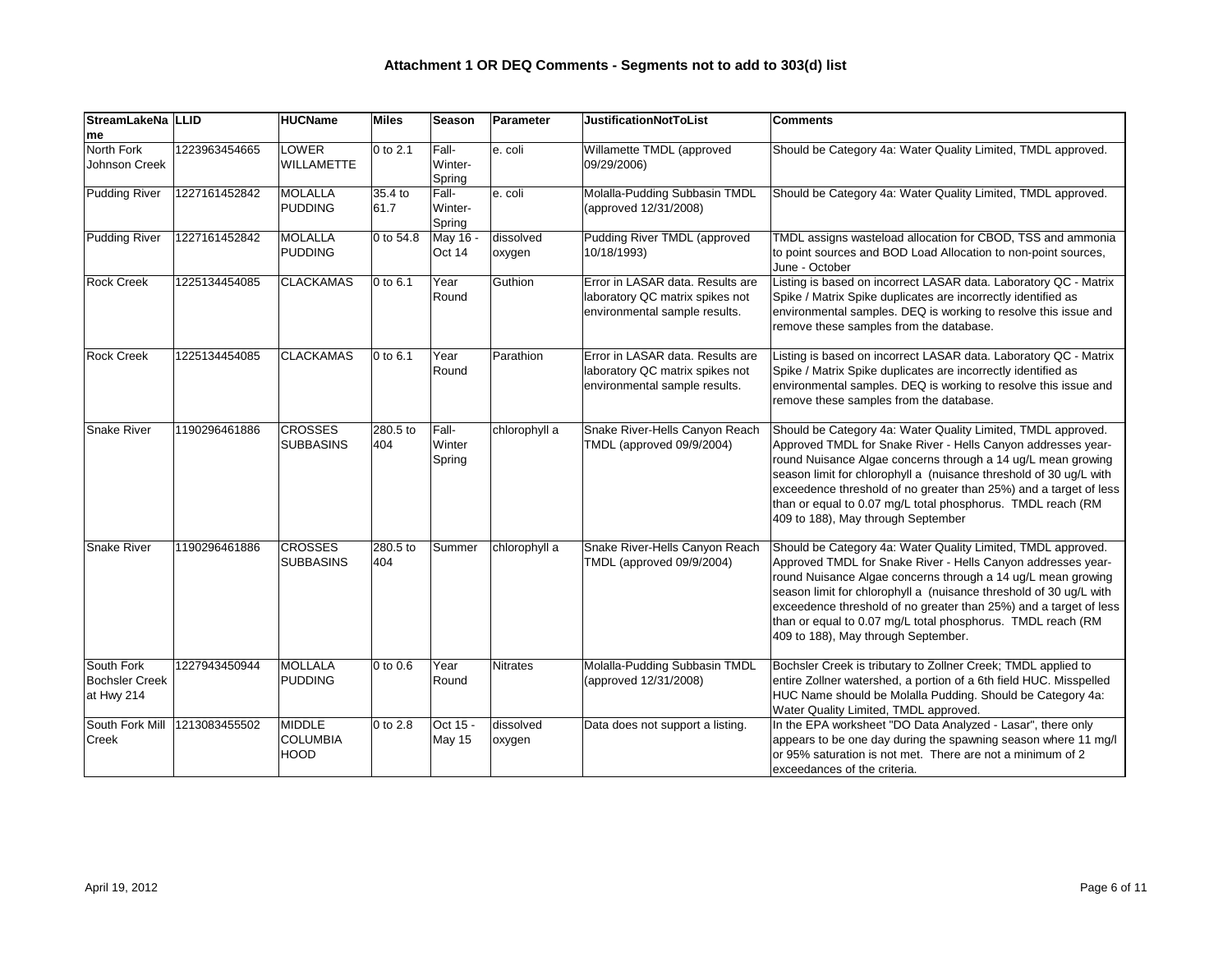| StreamLakeNa LLID<br>me                           |               | <b>HUCName</b>                           | Miles                 | Season                     | Parameter           | <b>JustificationNotToList</b>                                                                        | <b>Comments</b>                                                                                                                                                                                                                                                                                                                                                                                                                               |
|---------------------------------------------------|---------------|------------------------------------------|-----------------------|----------------------------|---------------------|------------------------------------------------------------------------------------------------------|-----------------------------------------------------------------------------------------------------------------------------------------------------------------------------------------------------------------------------------------------------------------------------------------------------------------------------------------------------------------------------------------------------------------------------------------------|
| North Fork<br>Johnson Creek                       | 1223963454665 | <b>LOWER</b><br><b>WILLAMETTE</b>        | $ 0 \text{ to } 2.1$  | Fall-<br>Winter-<br>Spring | e. coli             | Willamette TMDL (approved<br>09/29/2006)                                                             | Should be Category 4a: Water Quality Limited, TMDL approved.                                                                                                                                                                                                                                                                                                                                                                                  |
| <b>Pudding River</b>                              | 1227161452842 | MOLALLA<br>PUDDING                       | 35.4 to<br> 61.7      | Fall-<br>Winter-<br>Spring | e. coli             | Molalla-Pudding Subbasin TMDL<br>(approved 12/31/2008)                                               | Should be Category 4a: Water Quality Limited, TMDL approved.                                                                                                                                                                                                                                                                                                                                                                                  |
| <b>Pudding River</b>                              | 1227161452842 | MOLALLA<br>PUDDING                       | $ 0 \text{ to } 54.8$ | May 16 -<br>Oct 14         | dissolved<br>oxygen | Pudding River TMDL (approved<br>10/18/1993)                                                          | TMDL assigns wasteload allocation for CBOD, TSS and ammonia<br>to point sources and BOD Load Allocation to non-point sources,<br>June - October                                                                                                                                                                                                                                                                                               |
| <b>Rock Creek</b>                                 | 1225134454085 | <b>CLACKAMAS</b>                         | $ 0 \text{ to } 6.1$  | Year<br>Round              | Guthion             | Error in LASAR data. Results are<br>laboratory QC matrix spikes not<br>environmental sample results. | Listing is based on incorrect LASAR data. Laboratory QC - Matrix<br>Spike / Matrix Spike duplicates are incorrectly identified as<br>environmental samples. DEQ is working to resolve this issue and<br>remove these samples from the database.                                                                                                                                                                                               |
| <b>Rock Creek</b>                                 | 1225134454085 | <b>CLACKAMAS</b>                         | $ 0 \text{ to } 6.1$  | Year<br>Round              | Parathion           | Error in LASAR data. Results are<br>laboratory QC matrix spikes not<br>environmental sample results. | Listing is based on incorrect LASAR data. Laboratory QC - Matrix<br>Spike / Matrix Spike duplicates are incorrectly identified as<br>environmental samples. DEQ is working to resolve this issue and<br>remove these samples from the database.                                                                                                                                                                                               |
| <b>Snake River</b>                                | 1190296461886 | <b>CROSSES</b><br>SUBBASINS              | 280.5 to<br>404       | Fall-<br>Winter<br>Spring  | chlorophyll a       | Snake River-Hells Canyon Reach<br>TMDL (approved 09/9/2004)                                          | Should be Category 4a: Water Quality Limited, TMDL approved.<br>Approved TMDL for Snake River - Hells Canyon addresses year-<br>round Nuisance Algae concerns through a 14 ug/L mean growing<br>season limit for chlorophyll a (nuisance threshold of 30 ug/L with<br>exceedence threshold of no greater than 25%) and a target of less<br>than or equal to 0.07 mg/L total phosphorus. TMDL reach (RM<br>409 to 188), May through September  |
| <b>Snake River</b>                                | 1190296461886 | <b>CROSSES</b><br>SUBBASINS              | 280.5 to<br>404       | Summer                     | chlorophyll a       | Snake River-Hells Canyon Reach<br>TMDL (approved 09/9/2004)                                          | Should be Category 4a: Water Quality Limited, TMDL approved.<br>Approved TMDL for Snake River - Hells Canyon addresses year-<br>round Nuisance Algae concerns through a 14 ug/L mean growing<br>season limit for chlorophyll a (nuisance threshold of 30 ug/L with<br>exceedence threshold of no greater than 25%) and a target of less<br>than or equal to 0.07 mg/L total phosphorus. TMDL reach (RM<br>409 to 188), May through September. |
| South Fork<br><b>Bochsler Creek</b><br>at Hwy 214 | 1227943450944 | MOLLALA<br>PUDDING                       | $ 0 \text{ to } 0.6 $ | Year<br>Round              | Nitrates            | Molalla-Pudding Subbasin TMDL<br>(approved 12/31/2008)                                               | Bochsler Creek is tributary to Zollner Creek; TMDL applied to<br>entire Zollner watershed, a portion of a 6th field HUC. Misspelled<br>HUC Name should be Molalla Pudding. Should be Category 4a:<br>Water Quality Limited, TMDL approved.                                                                                                                                                                                                    |
| South Fork Mill<br>Creek                          | 1213083455502 | MIDDLE<br><b>COLUMBIA</b><br><b>HOOD</b> | $ 0 \text{ to } 2.8$  | Oct 15 -<br>May 15         | dissolved<br>oxygen | Data does not support a listing.                                                                     | In the EPA worksheet "DO Data Analyzed - Lasar", there only<br>appears to be one day during the spawning season where 11 mg/l<br>or 95% saturation is not met. There are not a minimum of 2<br>exceedances of the criteria.                                                                                                                                                                                                                   |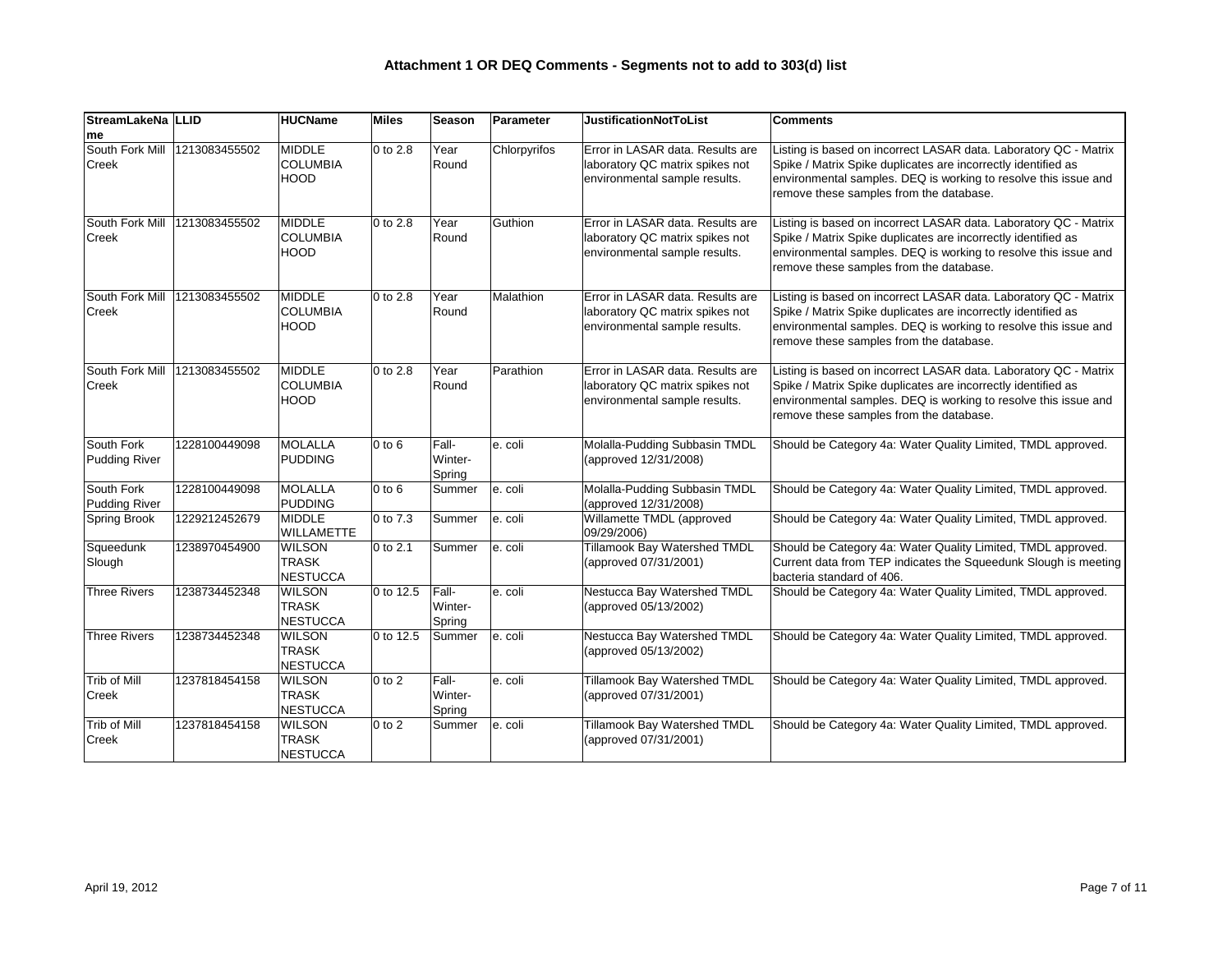| StreamLakeNa   LLID                |               | <b>HUCName</b>                                   | <b>Miles</b>         | <b>Season</b>              | Parameter    | <b>JustificationNotToList</b>                                                                        | <b>Comments</b>                                                                                                                                                                                                                                 |
|------------------------------------|---------------|--------------------------------------------------|----------------------|----------------------------|--------------|------------------------------------------------------------------------------------------------------|-------------------------------------------------------------------------------------------------------------------------------------------------------------------------------------------------------------------------------------------------|
| me                                 |               |                                                  |                      |                            |              |                                                                                                      |                                                                                                                                                                                                                                                 |
| South Fork Mill<br><b>Creek</b>    | 1213083455502 | MIDDLE<br><b>COLUMBIA</b><br>HOOD                | 0 to 2.8             | Year<br>Round              | Chlorpyrifos | Error in LASAR data. Results are<br>laboratory QC matrix spikes not<br>environmental sample results. | Listing is based on incorrect LASAR data. Laboratory QC - Matrix<br>Spike / Matrix Spike duplicates are incorrectly identified as<br>environmental samples. DEQ is working to resolve this issue and<br>remove these samples from the database. |
| South Fork Mill<br>Creek           | 1213083455502 | MIDDLE<br><b>COLUMBIA</b><br>HOOD                | 0 to 2.8             | Year<br>Round              | Guthion      | Error in LASAR data. Results are<br>laboratory QC matrix spikes not<br>environmental sample results. | Listing is based on incorrect LASAR data. Laboratory QC - Matrix<br>Spike / Matrix Spike duplicates are incorrectly identified as<br>environmental samples. DEQ is working to resolve this issue and<br>remove these samples from the database. |
| South Fork Mill<br><b>Creek</b>    | 1213083455502 | MIDDLE<br><b>COLUMBIA</b><br>HOOD                | $ 0 \text{ to } 2.8$ | Year<br>Round              | Malathion    | Error in LASAR data. Results are<br>laboratory QC matrix spikes not<br>environmental sample results. | Listing is based on incorrect LASAR data. Laboratory QC - Matrix<br>Spike / Matrix Spike duplicates are incorrectly identified as<br>environmental samples. DEQ is working to resolve this issue and<br>remove these samples from the database. |
| South Fork Mill<br>Creek           | 1213083455502 | MIDDLE<br><b>COLUMBIA</b><br>HOOD                | 0 to 2.8             | Year<br>Round              | Parathion    | Error in LASAR data. Results are<br>laboratory QC matrix spikes not<br>environmental sample results. | Listing is based on incorrect LASAR data. Laboratory QC - Matrix<br>Spike / Matrix Spike duplicates are incorrectly identified as<br>environmental samples. DEQ is working to resolve this issue and<br>remove these samples from the database. |
| South Fork<br><b>Pudding River</b> | 1228100449098 | MOLALLA<br>PUDDING                               | $0$ to $6$           | Fall-<br>Winter-<br>Spring | e. coli      | Molalla-Pudding Subbasin TMDL<br>(approved 12/31/2008)                                               | Should be Category 4a: Water Quality Limited, TMDL approved.                                                                                                                                                                                    |
| South Fork<br><b>Pudding River</b> | 1228100449098 | MOLALLA<br>PUDDING                               | $0$ to $6$           | Summer                     | e. coli      | Molalla-Pudding Subbasin TMDL<br>(approved 12/31/2008)                                               | Should be Category 4a: Water Quality Limited, TMDL approved.                                                                                                                                                                                    |
| <b>Spring Brook</b>                | 1229212452679 | MIDDLE<br><b>WILLAMETTE</b>                      | 0 to 7.3             | Summer                     | e. coli      | Willamette TMDL (approved<br>09/29/2006)                                                             | Should be Category 4a: Water Quality Limited, TMDL approved.                                                                                                                                                                                    |
| Squeedunk<br>Slough                | 1238970454900 | <b>WILSON</b><br><b>TRASK</b><br><b>NESTUCCA</b> | $ 0 \text{ to } 2.1$ | Summer                     | e. coli      | Tillamook Bay Watershed TMDL<br>(approved 07/31/2001)                                                | Should be Category 4a: Water Quality Limited, TMDL approved.<br>Current data from TEP indicates the Squeedunk Slough is meeting  <br>bacteria standard of 406.                                                                                  |
| <b>Three Rivers</b>                | 1238734452348 | <b>WILSON</b><br><b>TRASK</b><br>NESTUCCA        | 0 to 12.5            | Fall-<br>Winter-<br>Spring | e. coli      | Nestucca Bay Watershed TMDL<br>(approved 05/13/2002)                                                 | Should be Category 4a: Water Quality Limited, TMDL approved.                                                                                                                                                                                    |
| <b>Three Rivers</b>                | 1238734452348 | <b>WILSON</b><br><b>TRASK</b><br>NESTUCCA        |                      | 0 to 12.5 Summer e. coli   |              | Nestucca Bay Watershed TMDL<br>(approved 05/13/2002)                                                 | Should be Category 4a: Water Quality Limited, TMDL approved.                                                                                                                                                                                    |
| Trib of Mill<br>Creek              | 1237818454158 | <b>WILSON</b><br><b>TRASK</b><br>NESTUCCA        | $ 0 \text{ to } 2 $  | Fall-<br>Winter-<br>Spring | e. coli      | Tillamook Bay Watershed TMDL<br>(approved 07/31/2001)                                                | Should be Category 4a: Water Quality Limited, TMDL approved.                                                                                                                                                                                    |
| Trib of Mill<br>Creek              | 1237818454158 | <b>WILSON</b><br>TRASK<br>NESTUCCA               | $0$ to $2$           | Summer                     | e. coli      | Tillamook Bay Watershed TMDL<br>(approved 07/31/2001)                                                | Should be Category 4a: Water Quality Limited, TMDL approved.                                                                                                                                                                                    |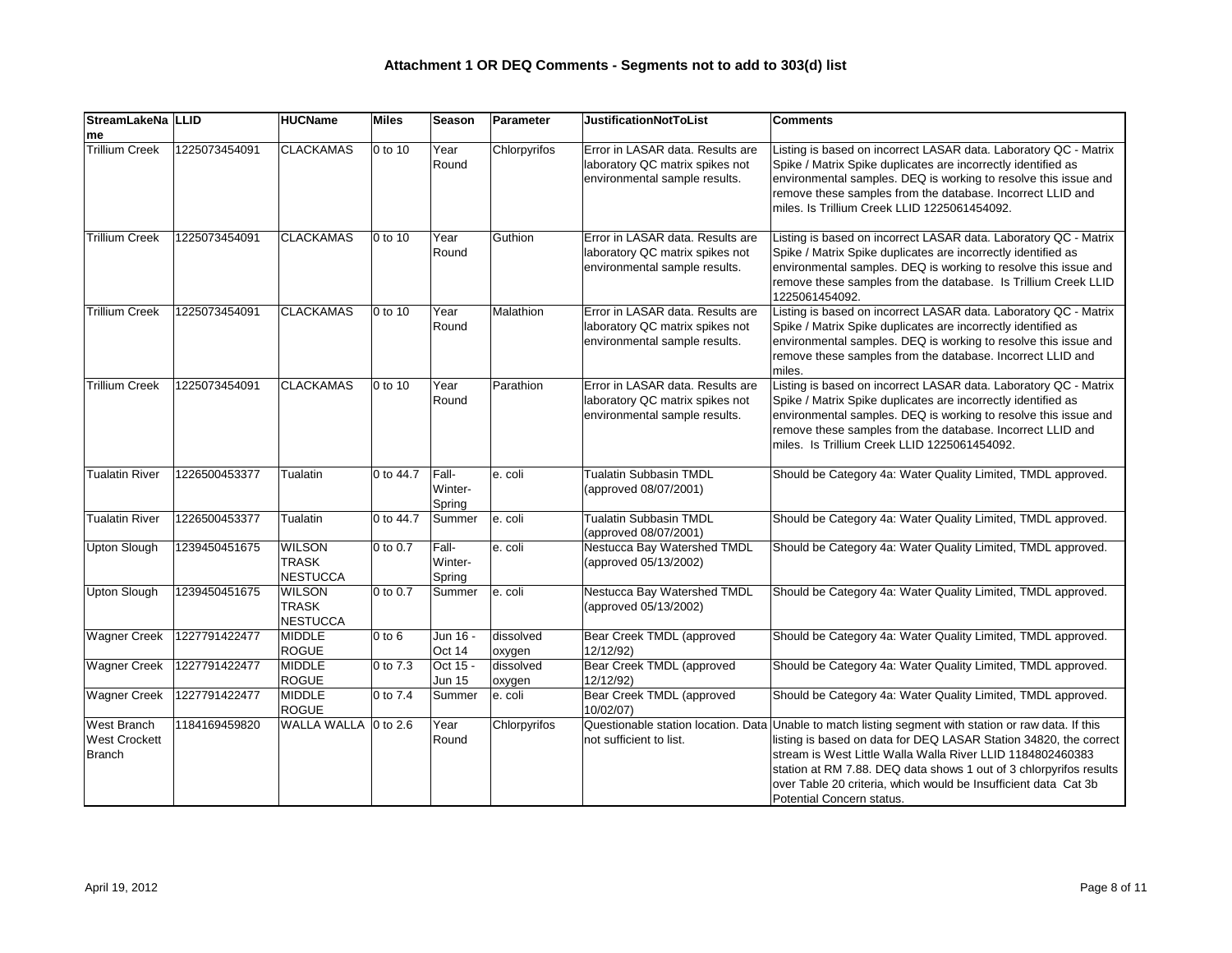| StreamLakeNa   LLID                                         |                              | <b>HUCName</b>                                   | <b>Miles</b> | <b>Season</b>              | Parameter           | <b>JustificationNotToList</b>                                                                        | <b>Comments</b>                                                                                                                                                                                                                                                                                                                                                                                                |
|-------------------------------------------------------------|------------------------------|--------------------------------------------------|--------------|----------------------------|---------------------|------------------------------------------------------------------------------------------------------|----------------------------------------------------------------------------------------------------------------------------------------------------------------------------------------------------------------------------------------------------------------------------------------------------------------------------------------------------------------------------------------------------------------|
| me                                                          |                              |                                                  |              |                            |                     |                                                                                                      |                                                                                                                                                                                                                                                                                                                                                                                                                |
| <b>Trillium Creek</b>                                       | 1225073454091                | <b>CLACKAMAS</b>                                 | 0 to 10      | Year<br>Round              | Chlorpyrifos        | Error in LASAR data. Results are<br>laboratory QC matrix spikes not<br>environmental sample results. | Listing is based on incorrect LASAR data. Laboratory QC - Matrix<br>Spike / Matrix Spike duplicates are incorrectly identified as<br>environmental samples. DEQ is working to resolve this issue and<br>remove these samples from the database. Incorrect LLID and<br>miles. Is Trillium Creek LLID 1225061454092.                                                                                             |
| <b>Trillium Creek</b>                                       | 1225073454091                | <b>CLACKAMAS</b>                                 | 0 to 10      | Year<br>Round              | Guthion             | Error in LASAR data. Results are<br>laboratory QC matrix spikes not<br>environmental sample results. | Listing is based on incorrect LASAR data. Laboratory QC - Matrix<br>Spike / Matrix Spike duplicates are incorrectly identified as<br>environmental samples. DEQ is working to resolve this issue and<br>remove these samples from the database. Is Trillium Creek LLID<br>1225061454092.                                                                                                                       |
| <b>Trillium Creek</b>                                       | 1225073454091                | <b>CLACKAMAS</b>                                 | 0 to 10      | Year<br>Round              | Malathion           | Error in LASAR data. Results are<br>laboratory QC matrix spikes not<br>environmental sample results. | Listing is based on incorrect LASAR data. Laboratory QC - Matrix<br>Spike / Matrix Spike duplicates are incorrectly identified as<br>environmental samples. DEQ is working to resolve this issue and<br>remove these samples from the database. Incorrect LLID and<br>miles.                                                                                                                                   |
| <b>Trillium Creek</b>                                       | 1225073454091                | <b>CLACKAMAS</b>                                 | 0 to 10      | Year<br>Round              | Parathion           | Error in LASAR data. Results are<br>laboratory QC matrix spikes not<br>environmental sample results. | Listing is based on incorrect LASAR data. Laboratory QC - Matrix<br>Spike / Matrix Spike duplicates are incorrectly identified as<br>environmental samples. DEQ is working to resolve this issue and<br>remove these samples from the database. Incorrect LLID and<br>miles. Is Trillium Creek LLID 1225061454092.                                                                                             |
| <b>Tualatin River</b>                                       | 1226500453377                | Tualatin                                         | 0 to 44.7    | Fall-<br>Winter-<br>Spring | e. coli             | <b>Tualatin Subbasin TMDL</b><br>(approved 08/07/2001)                                               | Should be Category 4a: Water Quality Limited, TMDL approved.                                                                                                                                                                                                                                                                                                                                                   |
| <b>Tualatin River</b>                                       | 1226500453377                | Tualatin                                         | 0 to 44.7    | Summer                     | e. coli             | Tualatin Subbasin TMDL<br>(approved 08/07/2001)                                                      | Should be Category 4a: Water Quality Limited, TMDL approved.                                                                                                                                                                                                                                                                                                                                                   |
| Upton Slough                                                | 1239450451675                | <b>WILSON</b><br><b>TRASK</b><br>NESTUCCA        | 0 to 0.7     | Fall-<br>Winter-<br>Spring | e. coli             | Nestucca Bay Watershed TMDL<br>(approved 05/13/2002)                                                 | Should be Category 4a: Water Quality Limited, TMDL approved.                                                                                                                                                                                                                                                                                                                                                   |
| <b>Upton Slough</b>                                         | 1239450451675                | <b>WILSON</b><br><b>TRASK</b><br><b>NESTUCCA</b> | 0 to 0.7     | Summer                     | e. coli             | Nestucca Bay Watershed TMDL<br>(approved 05/13/2002)                                                 | Should be Category 4a: Water Quality Limited, TMDL approved.                                                                                                                                                                                                                                                                                                                                                   |
|                                                             | Wagner Creek   1227791422477 | MIDDLE<br><b>ROGUE</b>                           | $0$ to $6$   | Jun 16 -<br>Oct 14         | dissolved<br>oxygen | Bear Creek TMDL (approved<br>12/12/92)                                                               | Should be Category 4a: Water Quality Limited, TMDL approved.                                                                                                                                                                                                                                                                                                                                                   |
| <b>Wagner Creek</b>                                         | 1227791422477                | MIDDLE<br><b>ROGUE</b>                           | 0 to 7.3     | Oct 15 -<br>Jun 15         | dissolved<br>oxygen | Bear Creek TMDL (approved<br>12/12/92)                                                               | Should be Category 4a: Water Quality Limited, TMDL approved.                                                                                                                                                                                                                                                                                                                                                   |
| <b>Wagner Creek</b>                                         | 1227791422477                | MIDDLE<br>ROGUE                                  | 0 to 7.4     | Summer                     | e. coli             | Bear Creek TMDL (approved<br>10/02/07                                                                | Should be Category 4a: Water Quality Limited, TMDL approved.                                                                                                                                                                                                                                                                                                                                                   |
| <b>West Branch</b><br><b>West Crockett</b><br><b>Branch</b> | 1184169459820                | WALLA WALLA 0 to 2.6                             |              | Year<br>Round              | Chlorpyrifos        | not sufficient to list.                                                                              | Questionable station location. Data Unable to match listing segment with station or raw data. If this<br>listing is based on data for DEQ LASAR Station 34820, the correct<br>stream is West Little Walla Walla River LLID 1184802460383<br>station at RM 7.88. DEQ data shows 1 out of 3 chlorpyrifos results<br>over Table 20 criteria, which would be Insufficient data Cat 3b<br>Potential Concern status. |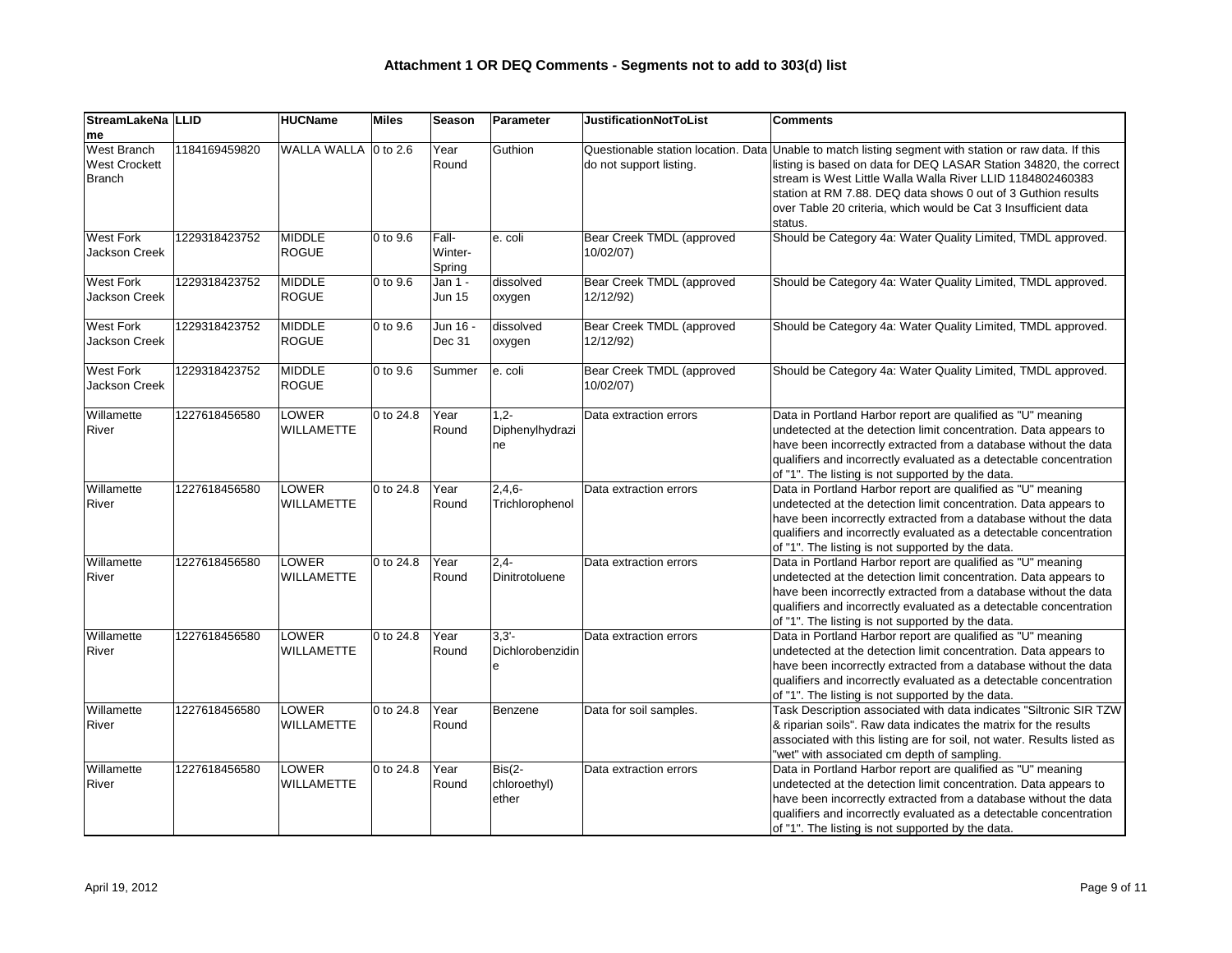| StreamLakeNa LLID<br>me                              |               | <b>HUCName</b>             | Miles                      | Season                     | Parameter                              | <b>JustificationNotToList</b>          | <b>Comments</b>                                                                                                                                                                                                                                                                                                                                                                        |
|------------------------------------------------------|---------------|----------------------------|----------------------------|----------------------------|----------------------------------------|----------------------------------------|----------------------------------------------------------------------------------------------------------------------------------------------------------------------------------------------------------------------------------------------------------------------------------------------------------------------------------------------------------------------------------------|
| West Branch<br><b>West Crockett</b><br><b>Branch</b> | 1184169459820 | WALLA WALLA 0 to 2.6       |                            | Year<br>Round              | Guthion                                | do not support listing.                | Questionable station location. Data Unable to match listing segment with station or raw data. If this<br>listing is based on data for DEQ LASAR Station 34820, the correct<br>stream is West Little Walla Walla River LLID 1184802460383<br>station at RM 7.88. DEQ data shows 0 out of 3 Guthion results<br>over Table 20 criteria, which would be Cat 3 Insufficient data<br>status. |
| <b>West Fork</b><br><b>Jackson Creek</b>             | 1229318423752 | MIDDLE<br>ROGUE            | $ 0 \text{ to } 9.6$       | Fall-<br>Winter-<br>Spring | e. coli                                | Bear Creek TMDL (approved<br>10/02/07) | Should be Category 4a: Water Quality Limited, TMDL approved.                                                                                                                                                                                                                                                                                                                           |
| <b>West Fork</b><br><b>Jackson Creek</b>             | 1229318423752 | MIDDLE<br>ROGUE            | $ 0 \text{ to } 9.6$       | Jan 1 -<br><b>Jun 15</b>   | dissolved<br>oxygen                    | Bear Creek TMDL (approved<br>12/12/92) | Should be Category 4a: Water Quality Limited, TMDL approved.                                                                                                                                                                                                                                                                                                                           |
| <b>West Fork</b><br>Jackson Creek                    | 1229318423752 | MIDDLE<br>ROGUE            | $ 0 \text{ to } 9.6$       | Jun 16 -<br>Dec 31         | dissolved<br>oxygen                    | Bear Creek TMDL (approved<br>12/12/92) | Should be Category 4a: Water Quality Limited, TMDL approved.                                                                                                                                                                                                                                                                                                                           |
| <b>West Fork</b><br>Jackson Creek                    | 1229318423752 | MIDDLE<br><b>ROGUE</b>     | $ 0 \text{ to } 9.6$       | Summer                     | e. coli                                | Bear Creek TMDL (approved<br>10/02/07) | Should be Category 4a: Water Quality Limited, TMDL approved.                                                                                                                                                                                                                                                                                                                           |
| Willamette<br><b>River</b>                           | 1227618456580 | <b>LOWER</b><br>WILLAMETTE | 0 to 24.8                  | Year<br>Round              | $1,2-$<br>Diphenylhydrazi<br>ne        | Data extraction errors                 | Data in Portland Harbor report are qualified as "U" meaning<br>undetected at the detection limit concentration. Data appears to<br>have been incorrectly extracted from a database without the data<br>qualifiers and incorrectly evaluated as a detectable concentration<br>of "1". The listing is not supported by the data.                                                         |
| Willamette<br><b>River</b>                           | 1227618456580 | <b>LOWER</b><br>WILLAMETTE | 0 to 24.8                  | Year<br>Round              | $ 2,4,6-$<br>Trichlorophenol           | Data extraction errors                 | Data in Portland Harbor report are qualified as "U" meaning<br>undetected at the detection limit concentration. Data appears to<br>have been incorrectly extracted from a database without the data<br>qualifiers and incorrectly evaluated as a detectable concentration<br>of "1". The listing is not supported by the data.                                                         |
| Willamette<br><b>River</b>                           | 1227618456580 | <b>LOWER</b><br>WILLAMETTE | 0 to 24.8                  | Year<br>Round              | $ 2, 4-$<br>Dinitrotoluene             | Data extraction errors                 | Data in Portland Harbor report are qualified as "U" meaning<br>undetected at the detection limit concentration. Data appears to<br>have been incorrectly extracted from a database without the data<br>qualifiers and incorrectly evaluated as a detectable concentration<br>of "1". The listing is not supported by the data.                                                         |
| Willamette<br>River                                  | 1227618456580 | LOWER<br>WILLAMETTE        | 0 to 24.8 $\sqrt{\ }$ Year | Round                      | $ 3,3'-$<br>Dichlorobenzidin           | Data extraction errors                 | Data in Portland Harbor report are qualified as "U" meaning<br>undetected at the detection limit concentration. Data appears to<br>have been incorrectly extracted from a database without the data<br>qualifiers and incorrectly evaluated as a detectable concentration<br>of "1". The listing is not supported by the data.                                                         |
| Willamette<br>River                                  | 1227618456580 | <b>LOWER</b><br>WILLAMETTE | $ 0 \text{ to } 24.8$      | Year<br>Round              | Benzene                                | Data for soil samples.                 | Task Description associated with data indicates "Siltronic SIR TZW<br>& riparian soils". Raw data indicates the matrix for the results<br>associated with this listing are for soil, not water. Results listed as<br>"wet" with associated cm depth of sampling.                                                                                                                       |
| Willamette<br>River                                  | 1227618456580 | <b>LOWER</b><br>WILLAMETTE | 0 to 24.8                  | Year<br>Round              | $Big  Bis(2-$<br>chloroethyl)<br>ether | Data extraction errors                 | Data in Portland Harbor report are qualified as "U" meaning<br>undetected at the detection limit concentration. Data appears to<br>have been incorrectly extracted from a database without the data<br>qualifiers and incorrectly evaluated as a detectable concentration<br>of "1". The listing is not supported by the data.                                                         |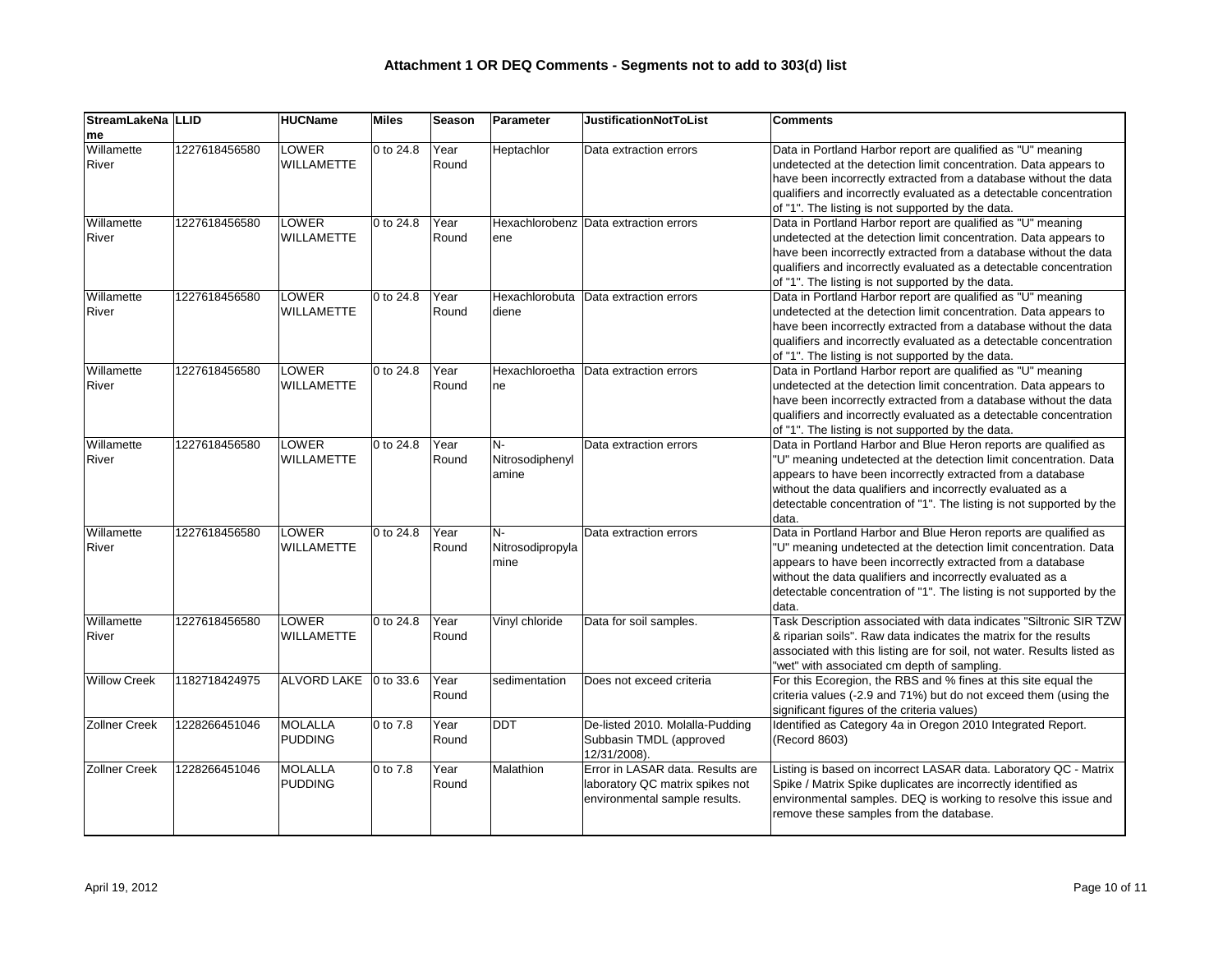| StreamLakeNa   LLID        |               | <b>HUCName</b>                    | <b>Miles</b>          | <b>Season</b> | Parameter                      | <b>JustificationNotToList</b>                                                                        | <b>Comments</b>                                                                                                                                                                                                                                                                                                                                   |
|----------------------------|---------------|-----------------------------------|-----------------------|---------------|--------------------------------|------------------------------------------------------------------------------------------------------|---------------------------------------------------------------------------------------------------------------------------------------------------------------------------------------------------------------------------------------------------------------------------------------------------------------------------------------------------|
| me                         |               |                                   |                       |               |                                |                                                                                                      |                                                                                                                                                                                                                                                                                                                                                   |
| Willamette<br>River        | 1227618456580 | LOWER<br><b>WILLAMETTE</b>        | 0 to 24.8             | Year<br>Round | Heptachlor                     | Data extraction errors                                                                               | Data in Portland Harbor report are qualified as "U" meaning<br>undetected at the detection limit concentration. Data appears to<br>have been incorrectly extracted from a database without the data<br>qualifiers and incorrectly evaluated as a detectable concentration<br>of "1". The listing is not supported by the data.                    |
| Willamette<br>River        | 1227618456580 | <b>LOWER</b><br><b>WILLAMETTE</b> | 0 to 24.8             | Year<br>Round | ene                            | Hexachlorobenz Data extraction errors                                                                | Data in Portland Harbor report are qualified as "U" meaning<br>undetected at the detection limit concentration. Data appears to<br>have been incorrectly extracted from a database without the data<br>qualifiers and incorrectly evaluated as a detectable concentration<br>of "1". The listing is not supported by the data.                    |
| Willamette<br>River        | 1227618456580 | <b>LOWER</b><br><b>WILLAMETTE</b> | 0 to 24.8             | Year<br>Round | Hexachlorobuta<br>diene        | Data extraction errors                                                                               | Data in Portland Harbor report are qualified as "U" meaning<br>undetected at the detection limit concentration. Data appears to<br>have been incorrectly extracted from a database without the data<br>qualifiers and incorrectly evaluated as a detectable concentration<br>of "1". The listing is not supported by the data.                    |
| Willamette<br>River        | 1227618456580 | <b>LOWER</b><br><b>WILLAMETTE</b> | 0 to 24.8             | Year<br>Round | Hexachloroetha<br>ne           | Data extraction errors                                                                               | Data in Portland Harbor report are qualified as "U" meaning<br>undetected at the detection limit concentration. Data appears to<br>have been incorrectly extracted from a database without the data<br>qualifiers and incorrectly evaluated as a detectable concentration<br>of "1". The listing is not supported by the data.                    |
| Willamette<br><b>River</b> | 1227618456580 | <b>LOWER</b><br><b>WILLAMETTE</b> | 0 to 24.8             | Year<br>Round | N-<br>Nitrosodiphenyl<br>amine | Data extraction errors                                                                               | Data in Portland Harbor and Blue Heron reports are qualified as<br>"U" meaning undetected at the detection limit concentration. Data<br>appears to have been incorrectly extracted from a database<br>without the data qualifiers and incorrectly evaluated as a<br>detectable concentration of "1". The listing is not supported by the<br>data. |
| Willamette<br>River        | 1227618456580 | LOWER<br><b>WILLAMETTE</b>        | 0 to 24.8             | Year<br>Round | N-<br>Nitrosodipropyla<br>mine | Data extraction errors                                                                               | Data in Portland Harbor and Blue Heron reports are qualified as<br>"U" meaning undetected at the detection limit concentration. Data<br>appears to have been incorrectly extracted from a database<br>without the data qualifiers and incorrectly evaluated as a<br>detectable concentration of "1". The listing is not supported by the<br>data. |
| Willamette<br>River        | 1227618456580 | <b>LOWER</b><br><b>WILLAMETTE</b> | 0 to 24.8             | Year<br>Round | Vinyl chloride                 | Data for soil samples.                                                                               | Task Description associated with data indicates "Siltronic SIR TZW<br>& riparian soils". Raw data indicates the matrix for the results<br>associated with this listing are for soil, not water. Results listed as<br>"wet" with associated cm depth of sampling.                                                                                  |
| <b>Willow Creek</b>        | 1182718424975 | ALVORD LAKE                       | $ 0 \text{ to } 33.6$ | Year<br>Round | sedimentation                  | Does not exceed criteria                                                                             | For this Ecoregion, the RBS and % fines at this site equal the<br>criteria values (-2.9 and 71%) but do not exceed them (using the<br>significant figures of the criteria values)                                                                                                                                                                 |
| <b>Zollner Creek</b>       | 1228266451046 | MOLALLA<br>PUDDING                | 0 to 7.8              | Year<br>Round | DDT                            | De-listed 2010. Molalla-Pudding<br>Subbasin TMDL (approved<br>12/31/2008).                           | Identified as Category 4a in Oregon 2010 Integrated Report.<br>(Record 8603)                                                                                                                                                                                                                                                                      |
| <b>Zollner Creek</b>       | 1228266451046 | MOLALLA<br>PUDDING                | 0 to 7.8              | Year<br>Round | Malathion                      | Error in LASAR data. Results are<br>laboratory QC matrix spikes not<br>environmental sample results. | Listing is based on incorrect LASAR data. Laboratory QC - Matrix<br>Spike / Matrix Spike duplicates are incorrectly identified as<br>environmental samples. DEQ is working to resolve this issue and<br>remove these samples from the database.                                                                                                   |